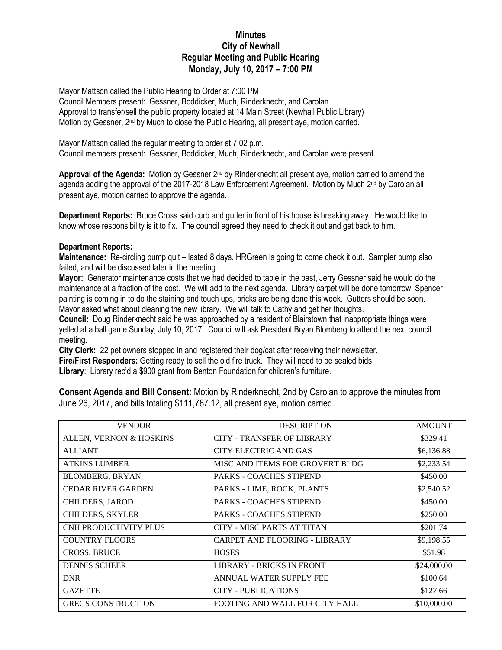## **Minutes City of Newhall Regular Meeting and Public Hearing Monday, July 10, 2017 – 7:00 PM**

Mayor Mattson called the Public Hearing to Order at 7:00 PM

Council Members present: Gessner, Boddicker, Much, Rinderknecht, and Carolan Approval to transfer/sell the public property located at 14 Main Street (Newhall Public Library) Motion by Gessner, 2<sup>nd</sup> by Much to close the Public Hearing, all present aye, motion carried.

Mayor Mattson called the regular meeting to order at 7:02 p.m. Council members present: Gessner, Boddicker, Much, Rinderknecht, and Carolan were present.

Approval of the Agenda: Motion by Gessner 2<sup>nd</sup> by Rinderknecht all present aye, motion carried to amend the agenda adding the approval of the 2017-2018 Law Enforcement Agreement. Motion by Much 2<sup>nd</sup> by Carolan all present aye, motion carried to approve the agenda.

**Department Reports:** Bruce Cross said curb and gutter in front of his house is breaking away. He would like to know whose responsibility is it to fix. The council agreed they need to check it out and get back to him.

## **Department Reports:**

**Maintenance:** Re-circling pump quit – lasted 8 days. HRGreen is going to come check it out. Sampler pump also failed, and will be discussed later in the meeting.

**Mayor:** Generator maintenance costs that we had decided to table in the past, Jerry Gessner said he would do the maintenance at a fraction of the cost. We will add to the next agenda. Library carpet will be done tomorrow, Spencer painting is coming in to do the staining and touch ups, bricks are being done this week. Gutters should be soon. Mayor asked what about cleaning the new library. We will talk to Cathy and get her thoughts.

**Council:** Doug Rinderknecht said he was approached by a resident of Blairstown that inappropriate things were yelled at a ball game Sunday, July 10, 2017. Council will ask President Bryan Blomberg to attend the next council meeting.

**City Clerk:** 22 pet owners stopped in and registered their dog/cat after receiving their newsletter. **Fire/First Responders:** Getting ready to sell the old fire truck. They will need to be sealed bids.

**Library**: Library rec'd a \$900 grant from Benton Foundation for children's furniture.

**Consent Agenda and Bill Consent:** Motion by Rinderknecht, 2nd by Carolan to approve the minutes from June 26, 2017, and bills totaling \$111,787.12, all present aye, motion carried.

| <b>VENDOR</b>                | <b>DESCRIPTION</b>                | <b>AMOUNT</b> |
|------------------------------|-----------------------------------|---------------|
| ALLEN, VERNON & HOSKINS      | <b>CITY - TRANSFER OF LIBRARY</b> | \$329.41      |
| <b>ALLIANT</b>               | CITY ELECTRIC AND GAS             | \$6,136.88    |
| <b>ATKINS LUMBER</b>         | MISC AND ITEMS FOR GROVERT BLDG   | \$2,233.54    |
| <b>BLOMBERG, BRYAN</b>       | <b>PARKS - COACHES STIPEND</b>    | \$450.00      |
| <b>CEDAR RIVER GARDEN</b>    | PARKS - LIME, ROCK, PLANTS        | \$2,540.52    |
| CHILDERS, JAROD              | <b>PARKS - COACHES STIPEND</b>    | \$450.00      |
| <b>CHILDERS, SKYLER</b>      | <b>PARKS - COACHES STIPEND</b>    | \$250.00      |
| <b>CNH PRODUCTIVITY PLUS</b> | CITY - MISC PARTS AT TITAN        | \$201.74      |
| <b>COUNTRY FLOORS</b>        | CARPET AND FLOORING - LIBRARY     | \$9,198.55    |
| <b>CROSS, BRUCE</b>          | <b>HOSES</b>                      | \$51.98       |
| <b>DENNIS SCHEER</b>         | LIBRARY - BRICKS IN FRONT         | \$24,000.00   |
| <b>DNR</b>                   | ANNUAL WATER SUPPLY FEE           | \$100.64      |
| <b>GAZETTE</b>               | CITY - PUBLICATIONS               | \$127.66      |
| <b>GREGS CONSTRUCTION</b>    | FOOTING AND WALL FOR CITY HALL    | \$10,000.00   |